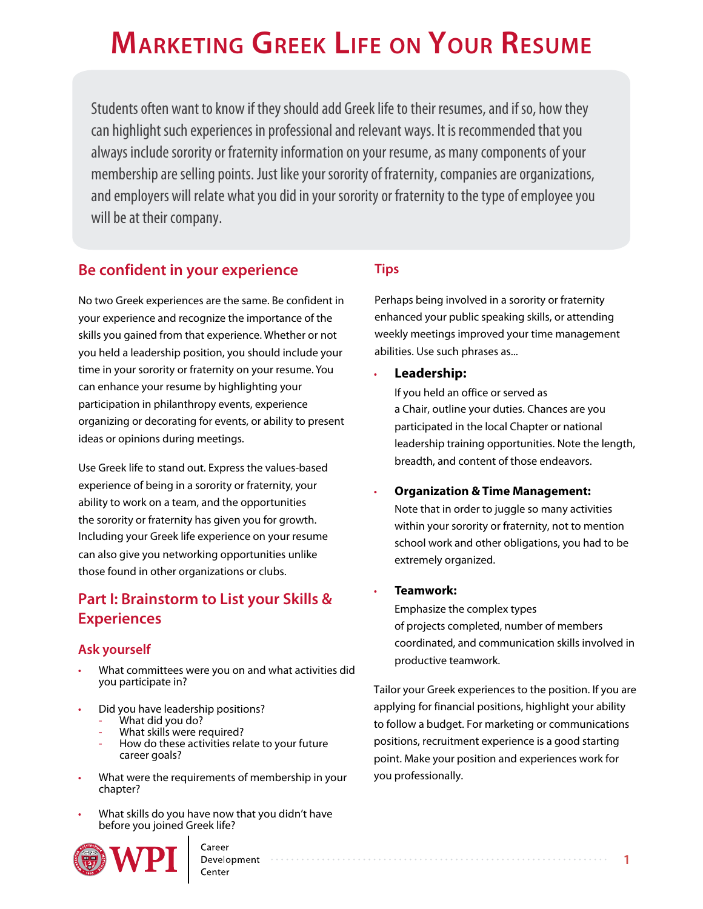# **Marketing greek Life on Your resuMe**

Students often want to know if they should add Greek life to their resumes, and if so, how they can highlight such experiences in professional and relevant ways. It is recommended that you always include sorority or fraternity information on your resume, as many components of your membership are selling points. Just like your sorority of fraternity, companies are organizations, and employers will relate what you did in your sorority or fraternity to the type of employee you will be at their company.

## **Be confident in your experience**

No two Greek experiences are the same. Be confident in your experience and recognize the importance of the skills you gained from that experience. Whether or not you held a leadership position, you should include your time in your sorority or fraternity on your resume. You can enhance your resume by highlighting your participation in philanthropy events, experience organizing or decorating for events, or ability to present ideas or opinions during meetings.

Use Greek life to stand out. Express the values-based experience of being in a sorority or fraternity, your ability to work on a team, and the opportunities the sorority or fraternity has given you for growth. Including your Greek life experience on your resume can also give you networking opportunities unlike those found in other organizations or clubs.

# **Part I: Brainstorm to List your Skills & Experiences**

## **Ask yourself**

- What committees were you on and what activities did you participate in?
- Did you have leadership positions?
	- What did you do?
	- What skills were required?
	- How do these activities relate to your future career goals?
- What were the requirements of membership in your chapter?
- What skills do you have now that you didn't have before you joined Greek life?



# **[Tips](http://c.ymcdn.com/sites/www.afa1976.org/resource/collection/D4F9B9DA-1382-448B-A338-B81EBF64E360/Helping_Student_Highlight_3.13.pdf)**

Perhaps being involved in a sorority or fraternity enhanced your public speaking skills, or attending weekly meetings improved your time management abilities. Use such phrases as...

#### • **Leadership:**

If you held an office or served as a Chair, outline your duties. Chances are you participated in the local Chapter or national leadership training opportunities. Note the length, breadth, and content of those endeavors.

#### • **Organization & Time Management:**

Note that in order to juggle so many activities within your sorority or fraternity, not to mention school work and other obligations, you had to be extremely organized.

#### • **Teamwork:**

Emphasize the complex types of projects completed, number of members coordinated, and communication skills involved in productive teamwork.

Tailor your Greek experiences to the position. If you are applying for financial positions, highlight your ability to follow a budget. For marketing or communications positions, recruitment experience is a good starting point. Make your position and experiences work for you professionally.

Career Development

Center

**1**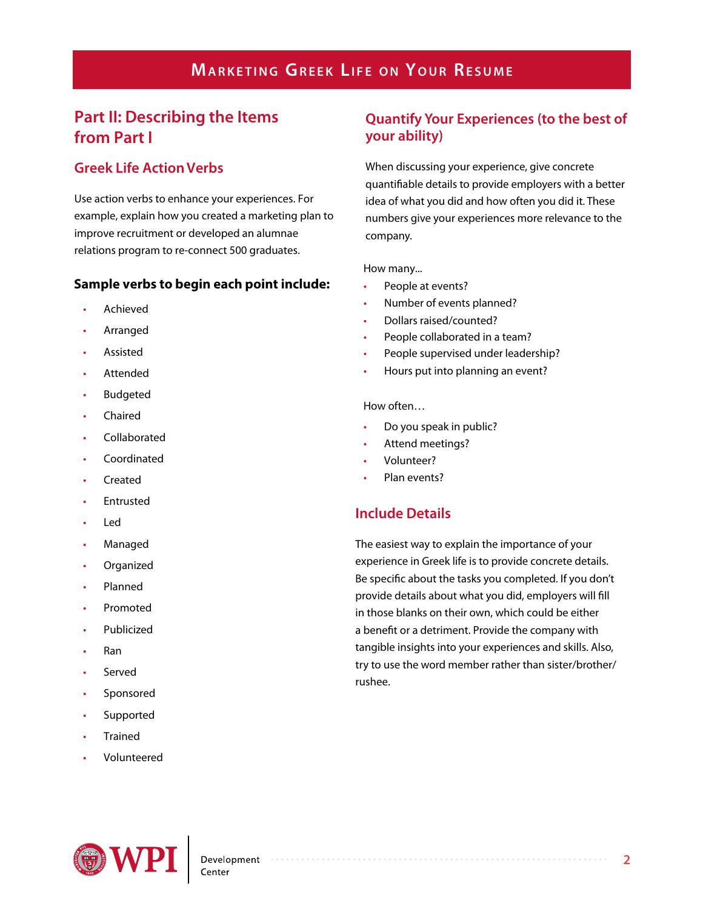# **MARKETING GREEK LIFE ON YOUR RESUME**

# **Part II: Describing the Items from Part I**

## **Greek Life Action Verbs**

Use action verbs to enhance your experiences. For example, explain how you created a marketing plan to improve recruitment or developed an alumnae relations program to re-connect 500 graduates.

#### **Sample verbs to begin each point include:**

- Achieved
- **Arranged**
- **Assisted**
- **Attended**
- **Budgeted**
- **Chaired**
- **Collaborated**
- Coordinated
- Created
- **Fntrusted**
- Led
- Managed
- **Organized**
- Planned
- Promoted
- **Publicized**
- Ran
- **Served**
- **Sponsored**
- **Supported**
- **Trained**
- Volunteered

## **Quantify Your Experiences (to the best of your ability)**

When discussing your experience, give concrete quantifiable details to provide employers with a better idea of what you did and how often you did it. These numbers give your experiences more relevance to the company.

#### How many...

- People at events?
- Number of events planned?
- Dollars raised/counted?
- People collaborated in a team?
- People supervised under leadership?
- Hours put into planning an event?

#### How often…

- Do you speak in public?
- Attend meetings?
- Volunteer?
- Plan events?

## **Include Details**

The easiest way to explain the importance of your experience in Greek life is to provide concrete details. Be specific about the tasks you completed. If you don't provide details about what you did, employers will fill in those blanks on their own, which could be either a benefit or a detriment. Provide the company with tangible insights into your experiences and skills. Also, try to use the word member rather than sister/brother/ rushee.

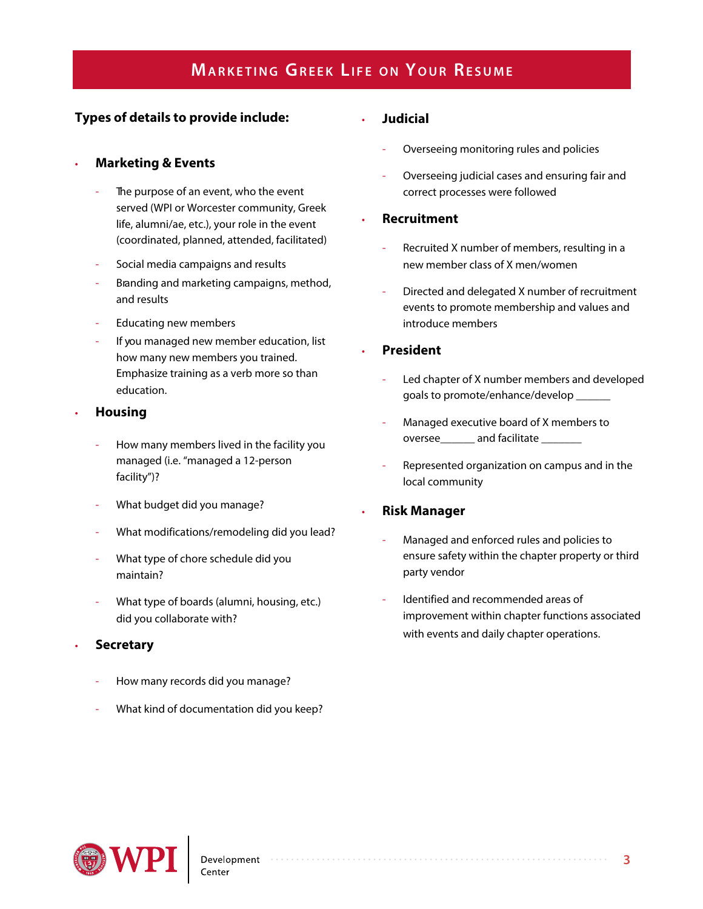# **MARKETING GREEK LIFE ON YOUR RESUME**

## **Types of details to provide include:**

### • **Marketing & Events**

- The purpose of an event, who the event served (WPI or Worcester community, Greek life, alumni/ae, etc.), your role in the event (coordinated, planned, attended, facilitated)
- Social media campaigns and results
- Branding and marketing campaigns, method, and results
- Educating new members
- If you managed new member education, list how many new members you trained. Emphasize training as a verb more so than education.
- **Housing**
	- How many members lived in the facility you managed (i.e. "managed a 12-person facility")?
	- What budget did you manage?
	- What modifications/remodeling did you lead?
	- What type of chore schedule did you maintain?
	- What type of boards (alumni, housing, etc.) did you collaborate with?

#### • **Secretary**

- How many records did you manage?
- What kind of documentation did you keep?

#### • **Judicial**

- Overseeing monitoring rules and policies
- Overseeing judicial cases and ensuring fair and correct processes were followed

#### • **Recruitment**

- Recruited X number of members, resulting in a new member class of X men/women
- Directed and delegated X number of recruitment events to promote membership and values and introduce members

#### • **President**

- Led chapter of X number members and developed goals to promote/enhance/develop \_\_\_\_\_\_
- Managed executive board of X members to oversee and facilitate
- Represented organization on campus and in the local community

#### • **Risk Manager**

- Managed and enforced rules and policies to ensure safety within the chapter property or third party vendor
- Identified and recommended areas of improvement within chapter functions associated with events and daily chapter operations.